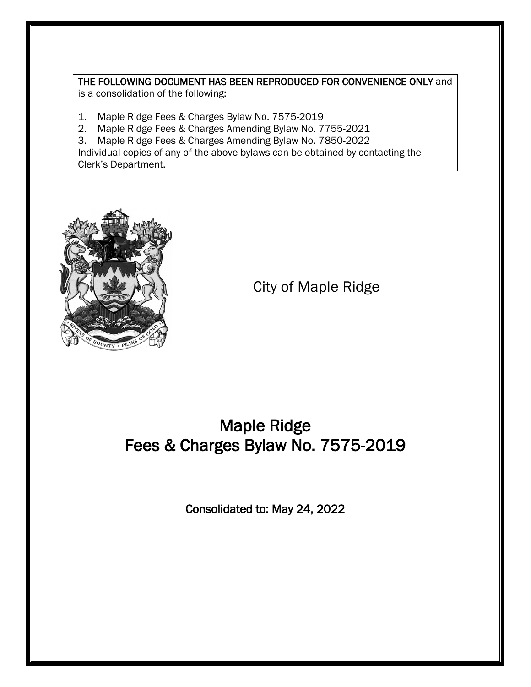#### THE FOLLOWING DOCUMENT HAS BEEN REPRODUCED FOR CONVENIENCE ONLY and is a consolidation of the following:

- 1. Maple Ridge Fees & Charges Bylaw No. 7575-2019
- 2. Maple Ridge Fees & Charges Amending Bylaw No. 7755-2021
- 3. Maple Ridge Fees & Charges Amending Bylaw No. 7850-2022

Individual copies of any of the above bylaws can be obtained by contacting the Clerk's Department.



City of Maple Ridge

# Maple Ridge Fees & Charges Bylaw No. 7575-2019

Consolidated to: May 24, 2022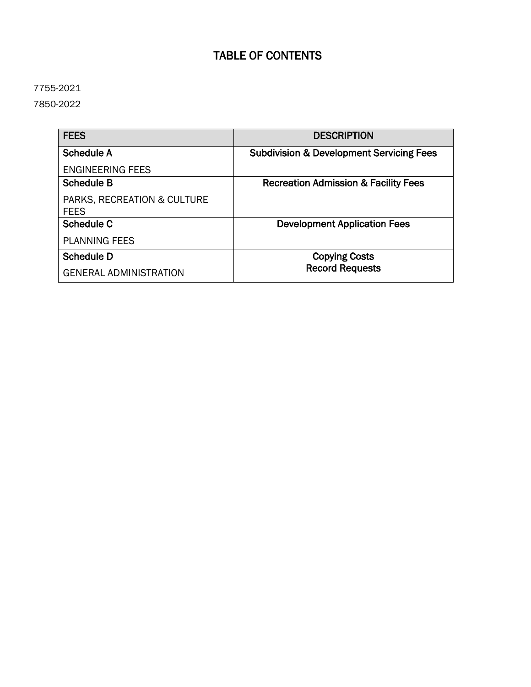## TABLE OF CONTENTS

7755-2021

7850-2022

| <b>FEES</b>                                           | <b>DESCRIPTION</b>                                  |
|-------------------------------------------------------|-----------------------------------------------------|
| <b>Schedule A</b>                                     | <b>Subdivision &amp; Development Servicing Fees</b> |
| <b>ENGINEERING FEES</b>                               |                                                     |
| <b>Schedule B</b>                                     | <b>Recreation Admission &amp; Facility Fees</b>     |
| <b>PARKS, RECREATION &amp; CULTURE</b><br><b>FEES</b> |                                                     |
| <b>Schedule C</b>                                     | <b>Development Application Fees</b>                 |
| <b>PLANNING FEES</b>                                  |                                                     |
| <b>Schedule D</b>                                     | <b>Copying Costs</b>                                |
| <b>GENERAL ADMINISTRATION</b>                         | <b>Record Requests</b>                              |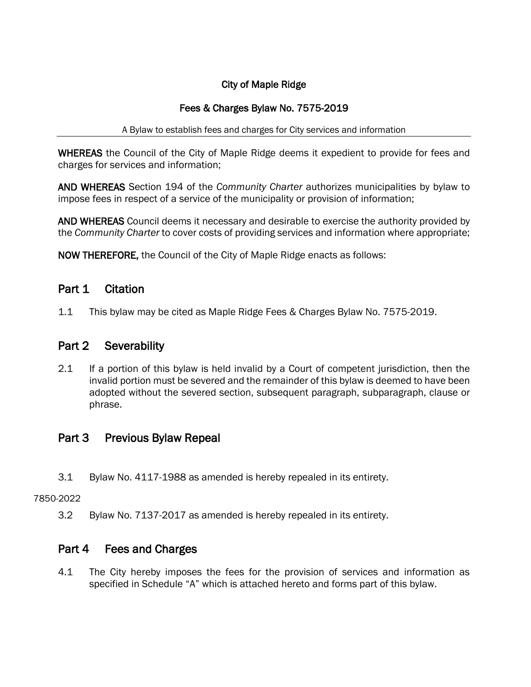#### City of Maple Ridge

#### Fees & Charges Bylaw No. 7575-2019

A Bylaw to establish fees and charges for City services and information

WHEREAS the Council of the City of Maple Ridge deems it expedient to provide for fees and charges for services and information;

AND WHEREAS Section 194 of the *Community Charter* authorizes municipalities by bylaw to impose fees in respect of a service of the municipality or provision of information;

AND WHEREAS Council deems it necessary and desirable to exercise the authority provided by the *Community Charter* to cover costs of providing services and information where appropriate;

NOW THEREFORE, the Council of the City of Maple Ridge enacts as follows:

### Part 1 Citation

1.1 This bylaw may be cited as Maple Ridge Fees & Charges Bylaw No. 7575-2019.

### Part 2 Severability

2.1 If a portion of this bylaw is held invalid by a Court of competent jurisdiction, then the invalid portion must be severed and the remainder of this bylaw is deemed to have been adopted without the severed section, subsequent paragraph, subparagraph, clause or phrase.

## Part 3 Previous Bylaw Repeal

3.1 Bylaw No. 4117-1988 as amended is hereby repealed in its entirety.

#### 7850-2022

3.2 Bylaw No. 7137-2017 as amended is hereby repealed in its entirety.

### Part 4 Fees and Charges

4.1 The City hereby imposes the fees for the provision of services and information as specified in Schedule "A" which is attached hereto and forms part of this bylaw.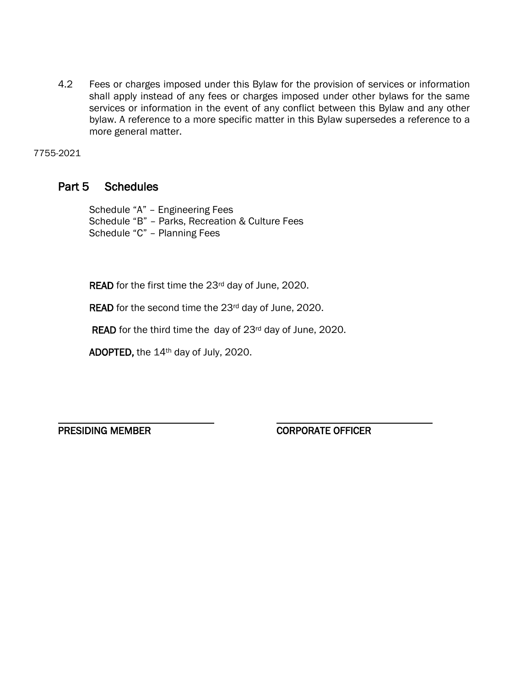4.2 Fees or charges imposed under this Bylaw for the provision of services or information shall apply instead of any fees or charges imposed under other bylaws for the same services or information in the event of any conflict between this Bylaw and any other bylaw. A reference to a more specific matter in this Bylaw supersedes a reference to a more general matter.

7755-2021

#### Part 5 Schedules

Schedule "A" – Engineering Fees Schedule "B" – Parks, Recreation & Culture Fees Schedule "C" – Planning Fees

READ for the first time the 23rd day of June, 2020.

READ for the second time the 23<sup>rd</sup> day of June, 2020.

READ for the third time the day of 23rd day of June, 2020.

ADOPTED, the 14th day of July, 2020.

PRESIDING MEMBER CORPORATE OFFICER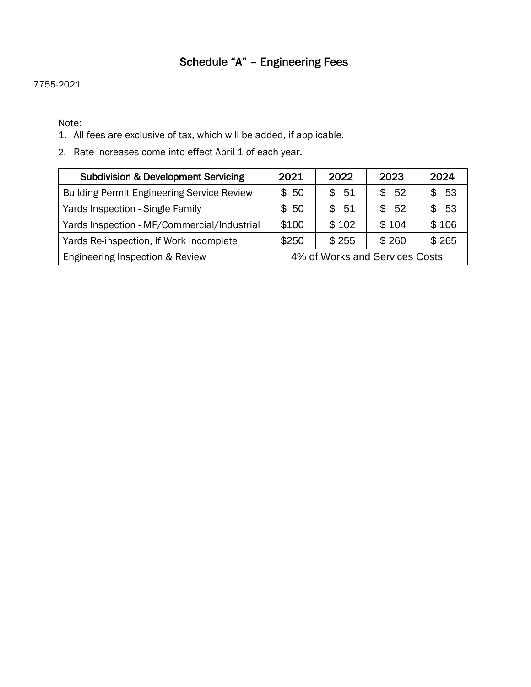## Schedule "A" – Engineering Fees

#### 7755-2021

Note:

- 1. All fees are exclusive of tax, which will be added, if applicable.
- 2. Rate increases come into effect April 1 of each year.

| <b>Subdivision &amp; Development Servicing</b>    | 2021                           | 2022                | 2023     | 2024    |
|---------------------------------------------------|--------------------------------|---------------------|----------|---------|
| <b>Building Permit Engineering Service Review</b> | \$50                           | -51<br>$\mathbb{S}$ | 52<br>S  | 53<br>S |
| Yards Inspection - Single Family                  | \$50                           | -51<br>\$           | 52<br>S. | 53<br>S |
| Yards Inspection - MF/Commercial/Industrial       | \$100                          | \$102               | \$104    | \$106   |
| Yards Re-inspection, If Work Incomplete           | \$250                          | \$255               | \$260    | \$265   |
| Engineering Inspection & Review                   | 4% of Works and Services Costs |                     |          |         |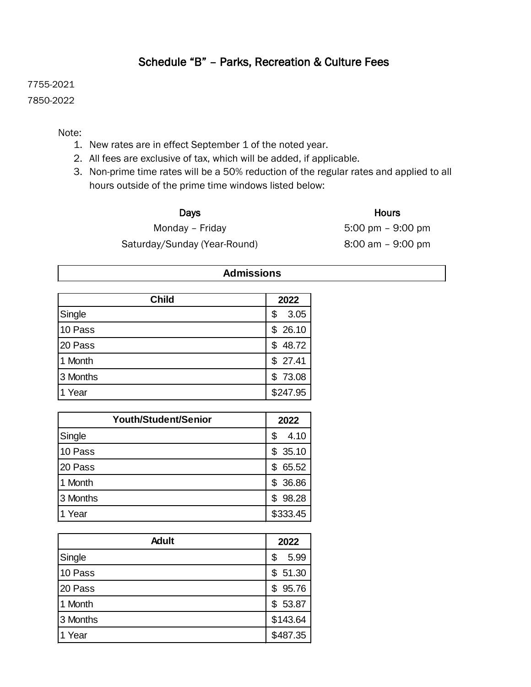## Schedule "B" – Parks, Recreation & Culture Fees

### 7755-2021

7850-2022

Note:

 $\overline{a}$ 

- 1. New rates are in effect September 1 of the noted year.
- 2. All fees are exclusive of tax, which will be added, if applicable.
- 3. Non-prime time rates will be a 50% reduction of the regular rates and applied to all hours outside of the prime time windows listed below:

| <b>Davs</b>                 |
|-----------------------------|
| Monday - Friday             |
| Saturday/Sunday (Year-Round |

**Hours** 5:00 pm – 9:00 pm ) 8:00 am – 9:00 pm

#### **Admissions**

| <b>Child</b> |    | 2022     |  |
|--------------|----|----------|--|
| Single       | \$ | 3.05     |  |
| 10 Pass      |    | \$26.10  |  |
| 20 Pass      |    | \$48.72  |  |
| 1 Month      |    | \$27.41  |  |
| 3 Months     |    | \$73.08  |  |
| 1 Year       |    | \$247.95 |  |

| <b>Youth/Student/Senior</b> | 2022        |  |
|-----------------------------|-------------|--|
| Single                      | \$<br>4.10  |  |
| 10 Pass                     | \$35.10     |  |
| 20 Pass                     | 65.52<br>\$ |  |
| 1 Month                     | \$36.86     |  |
| 3 Months                    | 98.28<br>\$ |  |
| Year                        | \$333.45    |  |

| <b>Adult</b> | 2022        |  |
|--------------|-------------|--|
| Single       | 5.99<br>\$  |  |
| 10 Pass      | \$51.30     |  |
| 20 Pass      | 95.76<br>\$ |  |
| 1 Month      | \$53.87     |  |
| 3 Months     | \$143.64    |  |
| 1 Year       | \$487.35    |  |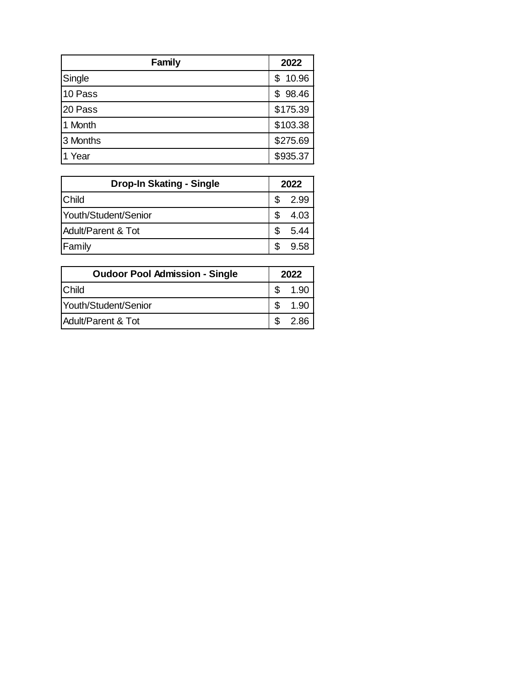| <b>Family</b> | 2022        |
|---------------|-------------|
| Single        | 10.96<br>\$ |
| 10 Pass       | \$98.46     |
| 20 Pass       | \$175.39    |
| 1 Month       | \$103.38    |
| 3 Months      | \$275.69    |
| 1 Year        | \$935.37    |

| <b>Drop-In Skating - Single</b> |    | 2022 |  |
|---------------------------------|----|------|--|
| <b>Child</b>                    | S. | 2.99 |  |
| Youth/Student/Senior            | S. | 4.03 |  |
| Adult/Parent & Tot              | S. | 5.44 |  |
| Family                          |    | 9.58 |  |

| <b>Oudoor Pool Admission - Single</b> |     | 2022  |  |
|---------------------------------------|-----|-------|--|
| <b>Child</b>                          |     | 1.90  |  |
| Youth/Student/Senior                  | \$. | 1.90  |  |
| Adult/Parent & Tot                    |     | -2.86 |  |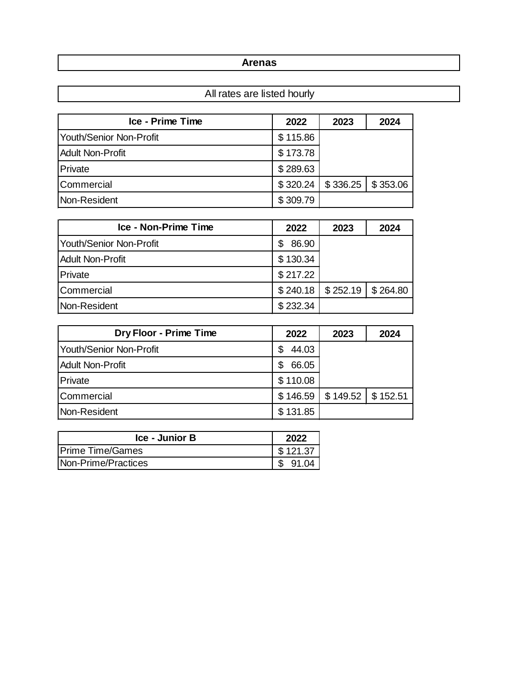#### **Arenas**

## All rates are listed hourly

| Ice - Prime Time        | 2022     | 2023     | 2024     |
|-------------------------|----------|----------|----------|
| Youth/Senior Non-Profit | \$115.86 |          |          |
| Adult Non-Profit        | \$173.78 |          |          |
| Private                 | \$289.63 |          |          |
| Commercial              | \$320.24 | \$336.25 | \$353.06 |
| Non-Resident            | \$309.79 |          |          |

| Ice - Non-Prime Time    | 2022         | 2023                | 2024 |
|-------------------------|--------------|---------------------|------|
| Youth/Senior Non-Profit | 86.90<br>\$. |                     |      |
| Adult Non-Profit        | \$130.34     |                     |      |
| Private                 | \$217.22     |                     |      |
| <b>Commercial</b>       | \$240.18     | $$252.19$ $$264.80$ |      |
| Non-Resident            | \$232.34     |                     |      |

| Dry Floor - Prime Time  | 2022         | 2023                | 2024 |
|-------------------------|--------------|---------------------|------|
| Youth/Senior Non-Profit | 44.03<br>\$. |                     |      |
| Adult Non-Profit        | 66.05<br>\$. |                     |      |
| Private                 | \$110.08     |                     |      |
| Commercial              | \$146.59     | $$149.52$ $$152.51$ |      |
| Non-Resident            | \$131.85     |                     |      |

| Ice - Junior B          |          |
|-------------------------|----------|
| <b>Prime Time/Games</b> | \$121.37 |
| Non-Prime/Practices     |          |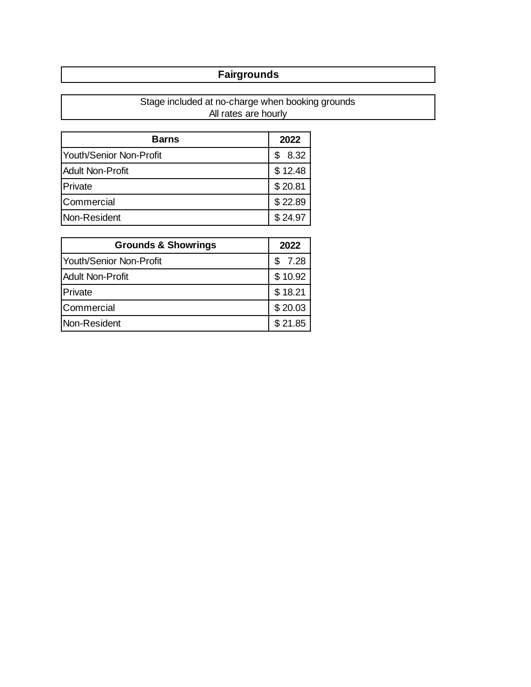## **Fairgrounds**

#### Stage included at no-charge when booking grounds All rates are hourly

| <b>Barns</b>            | 2022    |
|-------------------------|---------|
| Youth/Senior Non-Profit | 8.32    |
| <b>Adult Non-Profit</b> | \$12.48 |
| Private                 | \$20.81 |
| Commercial              | \$22.89 |
| Non-Resident            | \$24.97 |

| <b>Grounds &amp; Showrings</b> | 2022       |
|--------------------------------|------------|
| Youth/Senior Non-Profit        | 7.28<br>\$ |
| <b>Adult Non-Profit</b>        | \$10.92    |
| Private                        | \$18.21    |
| Commercial                     | \$20.03    |
| Non-Resident                   | \$21.85    |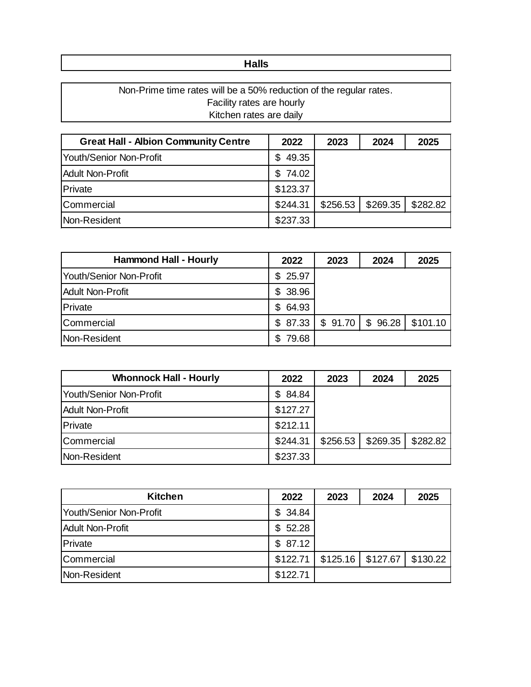### **Halls**

Non-Prime time rates will be a 50% reduction of the regular rates. Facility rates are hourly Kitchen rates are daily

| <b>Great Hall - Albion Community Centre</b> | 2022       | 2023     | 2024     | 2025     |
|---------------------------------------------|------------|----------|----------|----------|
| Youth/Senior Non-Profit                     | 49.35<br>S |          |          |          |
| Adult Non-Profit                            | \$74.02    |          |          |          |
| Private                                     | \$123.37   |          |          |          |
| Commercial                                  | \$244.31   | \$256.53 | \$269.35 | \$282.82 |
| Non-Resident                                | \$237.33   |          |          |          |

| <b>Hammond Hall - Hourly</b>   | 2022         | 2023    | 2024    | 2025     |
|--------------------------------|--------------|---------|---------|----------|
| <b>Youth/Senior Non-Profit</b> | \$25.97      |         |         |          |
| Adult Non-Profit               | 38.96<br>\$. |         |         |          |
| Private                        | 64.93<br>\$. |         |         |          |
| Commercial                     | 87.33<br>S.  | \$91.70 | \$96.28 | \$101.10 |
| Non-Resident                   | 79.68<br>\$. |         |         |          |

| <b>Whonnock Hall - Hourly</b>  | 2022        | 2023     | 2024     | 2025     |
|--------------------------------|-------------|----------|----------|----------|
| <b>Youth/Senior Non-Profit</b> | 84.84<br>S. |          |          |          |
| <b>Adult Non-Profit</b>        | \$127.27    |          |          |          |
| Private                        | \$212.11    |          |          |          |
| Commercial                     | \$244.31    | \$256.53 | \$269.35 | \$282.82 |
| Non-Resident                   | \$237.33    |          |          |          |

| <b>Kitchen</b>          | 2022     | 2023 | 2024                | 2025     |
|-------------------------|----------|------|---------------------|----------|
| Youth/Senior Non-Profit | \$34.84  |      |                     |          |
| Adult Non-Profit        | \$52.28  |      |                     |          |
| Private                 | \$87.12  |      |                     |          |
| Commercial              | \$122.71 |      | $$125.16$ $$127.67$ | \$130.22 |
| Non-Resident            | \$122.71 |      |                     |          |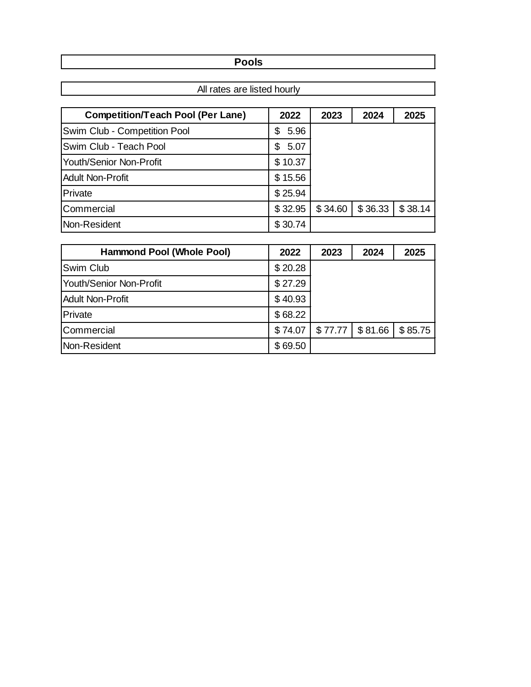### **Pools**

Ĭ.

| All rates are listed hourly              |            |         |         |         |
|------------------------------------------|------------|---------|---------|---------|
| <b>Competition/Teach Pool (Per Lane)</b> | 2022       | 2023    | 2024    | 2025    |
| Swim Club - Competition Pool             | \$<br>5.96 |         |         |         |
| Swim Club - Teach Pool                   | 5.07<br>\$ |         |         |         |
| Youth/Senior Non-Profit                  | \$10.37    |         |         |         |
| <b>Adult Non-Profit</b>                  | \$15.56    |         |         |         |
| Private                                  | \$25.94    |         |         |         |
| Commercial                               | \$32.95    | \$34.60 | \$36.33 | \$38.14 |
| Non-Resident                             | \$30.74    |         |         |         |

| <b>Hammond Pool (Whole Pool)</b> | 2022    | 2023    | 2024    | 2025    |
|----------------------------------|---------|---------|---------|---------|
| <b>Swim Club</b>                 | \$20.28 |         |         |         |
| Youth/Senior Non-Profit          | \$27.29 |         |         |         |
| Adult Non-Profit                 | \$40.93 |         |         |         |
| Private                          | \$68.22 |         |         |         |
| Commercial                       | \$74.07 | \$77.77 | \$81.66 | \$85.75 |
| Non-Resident                     | \$69.50 |         |         |         |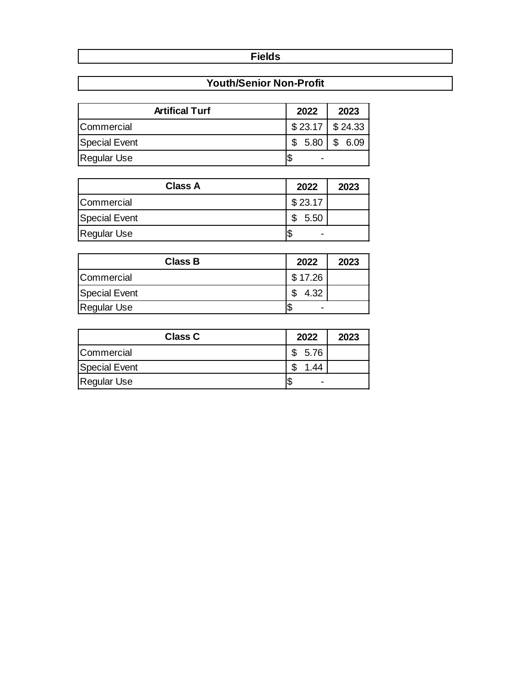### **Fields**

## **Youth/Senior Non-Profit**

| <b>Artifical Turf</b> | 2022 | 2023                |
|-----------------------|------|---------------------|
| <b>Commercial</b>     |      | $$23.17$ \ $$24.33$ |
| Special Event         | 5.80 | 6.09                |
| Regular Use           | -    |                     |

| <b>Class A</b> | 2022    | 2023 |
|----------------|---------|------|
| Commercial     | \$23.17 |      |
| Special Event  | 5.50    |      |
| Regular Use    | -       |      |

| <b>Class B</b> | 2022    | 2023 |
|----------------|---------|------|
| Commercial     | \$17.26 |      |
| Special Event  | 4.32    |      |
| Regular Use    | -       |      |

| <b>Class C</b>    | 2022 | 2023 |
|-------------------|------|------|
| <b>Commercial</b> | 5.76 |      |
| Special Event     | .44  |      |
| Regular Use       | -    |      |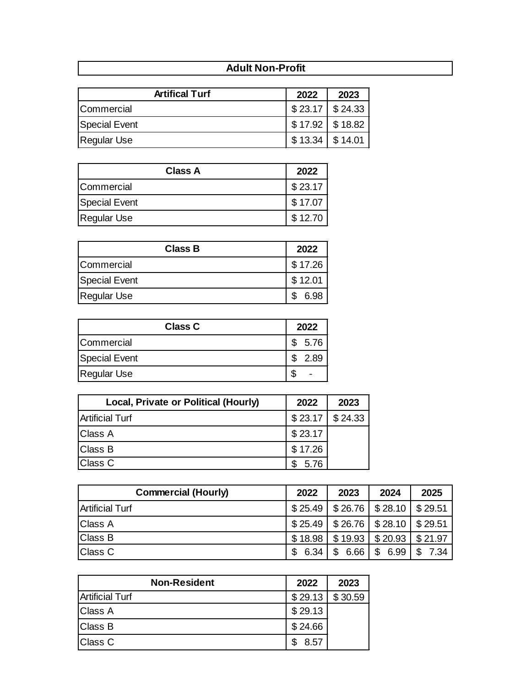### **Adult Non-Profit**

| <b>Artifical Turf</b> | 2022              | 2023    |
|-----------------------|-------------------|---------|
| <b>Commercial</b>     | $$23.17$ $$24.33$ |         |
| Special Event         | $$17.92$ $$18.82$ |         |
| Regular Use           | \$13.34           | \$14.01 |

| <b>Class A</b>    | 2022    |
|-------------------|---------|
| <b>Commercial</b> | \$23.17 |
| Special Event     | \$17.07 |
| Regular Use       | \$12.70 |

| <b>Class B</b> | 2022    |
|----------------|---------|
| Commercial     | \$17.26 |
| Special Event  | \$12.01 |
| Regular Use    | 6.98    |

| <b>Class C</b>     | 2022       |
|--------------------|------------|
| Commercial         | 5.76<br>\$ |
| Special Event      | 2.89<br>S. |
| <b>Regular Use</b> | -          |

| Local, Private or Political (Hourly) | 2022    | 2023    |
|--------------------------------------|---------|---------|
| Artificial Turf                      | \$23.17 | \$24.33 |
| <b>Class A</b>                       | \$23.17 |         |
| Class B                              | \$17.26 |         |
| Class C                              | 5.76    |         |

| <b>Commercial (Hourly)</b> | 2022       | 2023       | 2024                             | 2025    |
|----------------------------|------------|------------|----------------------------------|---------|
| <b>Artificial Turf</b>     | \$25.49    |            | $$26.76$ $$28.10$                | \$29.51 |
| Class A                    | \$25.49    |            | $$26.76 \mid $28.10 \mid $29.51$ |         |
| Class B                    | \$18.98    | \$19.93    | \$20.93                          | \$21.97 |
| Class C                    | 6.34<br>\$ | \$<br>6.66 | $\mathbb{S}$<br>6.99             | \$7.34  |

| <b>Non-Resident</b> | 2022    | 2023    |
|---------------------|---------|---------|
| Artificial Turf     | \$29.13 | \$30.59 |
| Class A             | \$29.13 |         |
| Class B             | \$24.66 |         |
| Class C             | 8.57    |         |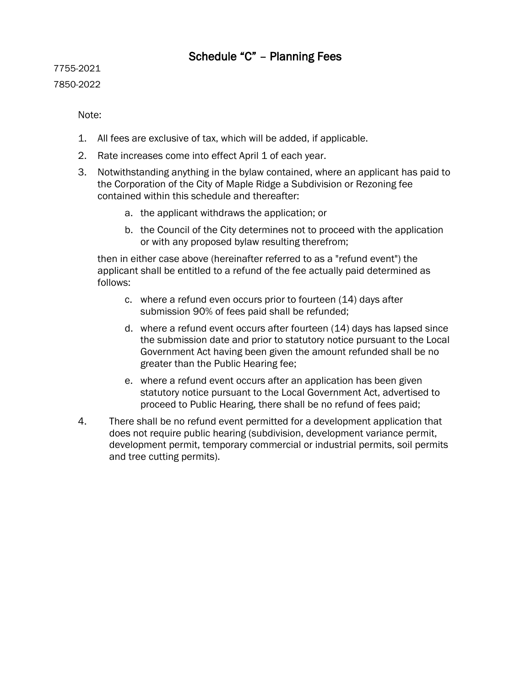7850-2022

Note:

- 1. All fees are exclusive of tax, which will be added, if applicable.
- 2. Rate increases come into effect April 1 of each year.
- 3. Notwithstanding anything in the bylaw contained, where an applicant has paid to the Corporation of the City of Maple Ridge a Subdivision or Rezoning fee contained within this schedule and thereafter:
	- a. the applicant withdraws the application; or
	- b. the Council of the City determines not to proceed with the application or with any proposed bylaw resulting therefrom;

then in either case above (hereinafter referred to as a "refund event") the applicant shall be entitled to a refund of the fee actually paid determined as follows:

- c. where a refund even occurs prior to fourteen (14) days after submission 90% of fees paid shall be refunded;
- d. where a refund event occurs after fourteen (14) days has lapsed since the submission date and prior to statutory notice pursuant to the Local Government Act having been given the amount refunded shall be no greater than the Public Hearing fee;
- e. where a refund event occurs after an application has been given statutory notice pursuant to the Local Government Act, advertised to proceed to Public Hearing, there shall be no refund of fees paid;
- 4. There shall be no refund event permitted for a development application that does not require public hearing (subdivision, development variance permit, development permit, temporary commercial or industrial permits, soil permits and tree cutting permits).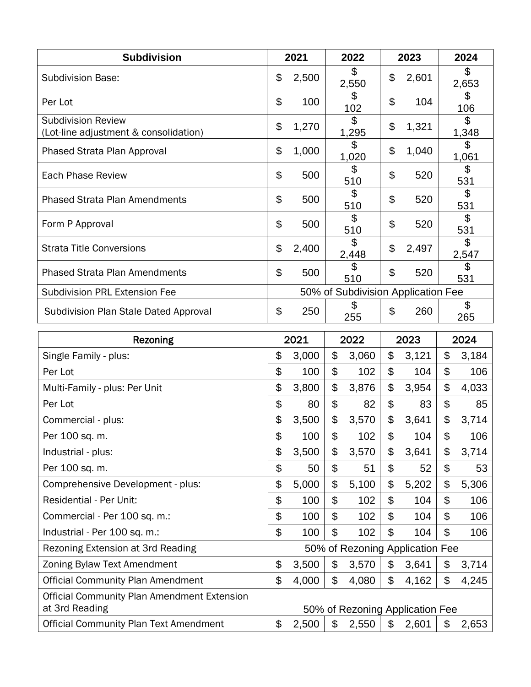| <b>Subdivision</b>                                                   | 2021 |       |                           | 2022<br>2023                       |      |       | 2024           |             |
|----------------------------------------------------------------------|------|-------|---------------------------|------------------------------------|------|-------|----------------|-------------|
| <b>Subdivision Base:</b>                                             | \$   | 2,500 |                           | \$<br>2,550                        | \$   | 2,601 |                | \$<br>2,653 |
| Per Lot                                                              | \$   | 100   |                           | Ж,<br>102                          | \$   | 104   |                | \$<br>106   |
| <b>Subdivision Review</b><br>(Lot-line adjustment & consolidation)   | \$   | 1,270 |                           | 1,295                              | \$   | 1,321 |                | \$<br>1,348 |
| Phased Strata Plan Approval                                          | \$   | 1,000 |                           | S<br>1,020                         | \$   | 1,040 |                | \$<br>1,061 |
| <b>Each Phase Review</b>                                             | \$   | 500   |                           | \$<br>510                          | \$   | 520   |                | \$<br>531   |
| <b>Phased Strata Plan Amendments</b>                                 | \$   | 500   |                           | \$<br>510                          | \$   | 520   |                | \$<br>531   |
| Form P Approval                                                      | \$   | 500   |                           | \$<br>510                          | \$   | 520   |                | \$<br>531   |
| <b>Strata Title Conversions</b>                                      | \$   | 2,400 |                           | 2,448                              | \$   | 2,497 |                | \$<br>2,547 |
| <b>Phased Strata Plan Amendments</b>                                 | \$   | 500   |                           | 510                                | \$   | 520   |                | \$<br>531   |
| <b>Subdivision PRL Extension Fee</b>                                 |      |       |                           | 50% of Subdivision Application Fee |      |       |                |             |
| Subdivision Plan Stale Dated Approval                                | \$   | 250   |                           | 255                                | \$   | 260   |                | \$<br>265   |
| Rezoning                                                             | 2021 |       |                           | 2022                               | 2023 |       | 2024           |             |
| Single Family - plus:                                                | \$   | 3,000 | $\boldsymbol{\mathsf{S}}$ | 3,060                              | \$   | 3,121 | \$             | 3,184       |
| Per Lot                                                              | \$   | 100   | $\boldsymbol{\mathsf{S}}$ | 102                                | \$   | 104   | $\mathfrak{S}$ | 106         |
| Multi-Family - plus: Per Unit                                        | \$   | 3,800 | \$                        | 3,876                              | \$   | 3,954 | \$             | 4,033       |
| Per Lot                                                              | \$   | 80    | $\boldsymbol{\mathsf{S}}$ | 82                                 | \$   | 83    | \$             | 85          |
| Commercial - plus:                                                   | \$   | 3,500 | \$                        | 3,570                              | \$   | 3,641 | \$             | 3,714       |
| Per 100 sq. m.                                                       | \$   | 100   | \$                        | 102                                | \$   | 104   | \$             | 106         |
| Industrial - plus:                                                   | \$   | 3,500 | \$                        | 3,570                              | \$   | 3,641 | \$             | 3,714       |
| Per 100 sq. m.                                                       | \$   | 50    | \$                        | 51                                 | \$   | 52    | \$             | 53          |
| Comprehensive Development - plus:                                    | \$   | 5,000 | \$                        | 5,100                              | \$   | 5,202 | \$             | 5,306       |
| Residential - Per Unit:                                              | \$   | 100   | \$                        | 102                                | \$   | 104   | \$             | 106         |
| Commercial - Per 100 sq. m.:                                         | \$   | 100   | $\boldsymbol{\mathsf{S}}$ | 102                                | \$   | 104   | $\mathfrak{L}$ | 106         |
| Industrial - Per 100 sq. m.:                                         | \$   | 100   | \$                        | 102                                | \$   | 104   | $\mathfrak{S}$ | 106         |
| Rezoning Extension at 3rd Reading                                    |      |       |                           | 50% of Rezoning Application Fee    |      |       |                |             |
| Zoning Bylaw Text Amendment                                          | \$   | 3,500 | \$                        | 3,570                              | \$   | 3,641 | \$             | 3,714       |
| <b>Official Community Plan Amendment</b>                             | \$   | 4,000 | \$                        | 4,080                              | \$   | 4,162 | \$             | 4,245       |
| <b>Official Community Plan Amendment Extension</b><br>at 3rd Reading |      |       |                           | 50% of Rezoning Application Fee    |      |       |                |             |
| <b>Official Community Plan Text Amendment</b>                        | \$   | 2,500 | \$                        | 2,550                              | \$   | 2,601 | \$             | 2,653       |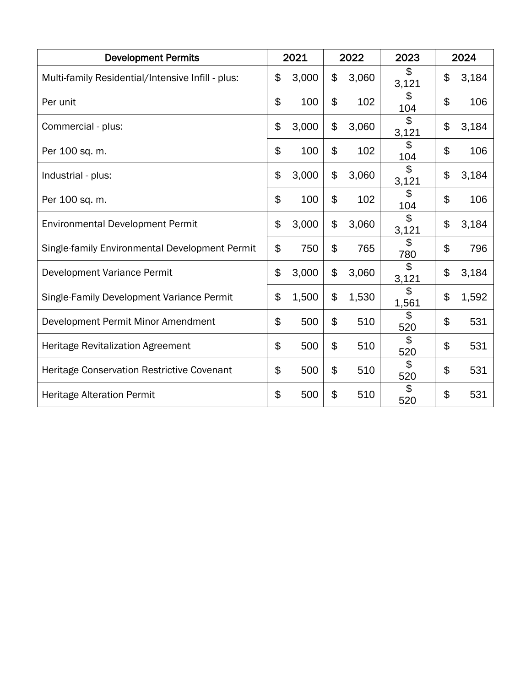| <b>Development Permits</b>                        |                | 2021  | 2022        | 2023                  |                           | 2024  |
|---------------------------------------------------|----------------|-------|-------------|-----------------------|---------------------------|-------|
| Multi-family Residential/Intensive Infill - plus: | \$             | 3,000 | \$<br>3,060 | Ж,<br>3,121           | \$                        | 3,184 |
| Per unit                                          | $\mathfrak{S}$ | 100   | \$<br>102   | \$<br>104             | \$                        | 106   |
| Commercial - plus:                                | $\mathfrak{S}$ | 3,000 | \$<br>3,060 | 3,121                 | \$                        | 3,184 |
| Per 100 sq. m.                                    | $\mathfrak{L}$ | 100   | \$<br>102   | \$<br>104             | \$                        | 106   |
| Industrial - plus:                                | \$             | 3,000 | \$<br>3,060 | 3,121                 | \$                        | 3,184 |
| Per 100 sq. m.                                    | \$             | 100   | \$<br>102   | \$<br>104             | \$                        | 106   |
| <b>Environmental Development Permit</b>           | \$             | 3,000 | \$<br>3,060 | \$<br>3,121           | \$                        | 3,184 |
| Single-family Environmental Development Permit    | \$             | 750   | \$<br>765   | \$<br>780             | $\boldsymbol{\mathsf{S}}$ | 796   |
| Development Variance Permit                       | \$             | 3,000 | \$<br>3,060 | \$<br>3,121           | \$                        | 3,184 |
| Single-Family Development Variance Permit         | \$             | 1,500 | \$<br>1,530 | \$<br>1,561           | \$                        | 1,592 |
| Development Permit Minor Amendment                | \$             | 500   | \$<br>510   | \$<br>520             | $\boldsymbol{\mathsf{S}}$ | 531   |
| <b>Heritage Revitalization Agreement</b>          | \$             | 500   | \$<br>510   | $\mathfrak{L}$<br>520 | \$                        | 531   |
| <b>Heritage Conservation Restrictive Covenant</b> | $\mathfrak{S}$ | 500   | \$<br>510   | $\mathfrak{L}$<br>520 | \$                        | 531   |
| <b>Heritage Alteration Permit</b>                 | \$             | 500   | \$<br>510   | \$<br>520             | \$                        | 531   |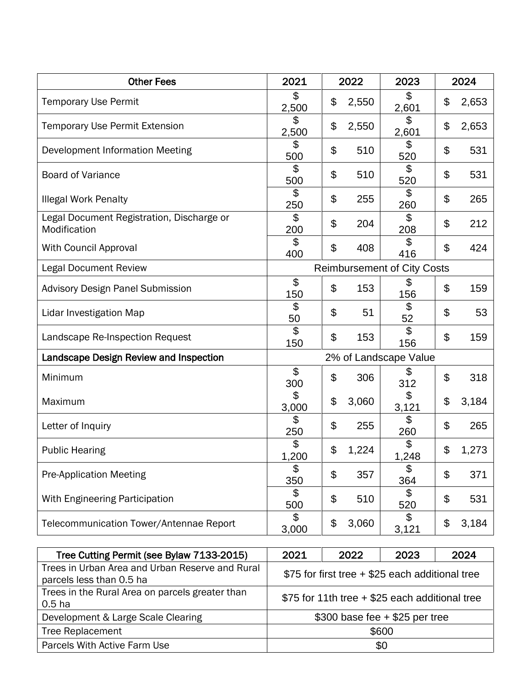| <b>Other Fees</b>                                         | 2021                               | 2022 |       | 2023                  | 2024 |       |
|-----------------------------------------------------------|------------------------------------|------|-------|-----------------------|------|-------|
| <b>Temporary Use Permit</b>                               | \$<br>2,500                        | \$   | 2,550 | \$<br>2,601           | \$   | 2,653 |
| <b>Temporary Use Permit Extension</b>                     | SS<br>2,500                        | \$   | 2,550 | S.<br>2,601           | \$   | 2,653 |
| Development Information Meeting                           | \$<br>500                          | \$   | 510   | 520                   | \$   | 531   |
| <b>Board of Variance</b>                                  | \$<br>500                          | \$   | 510   | \$<br>520             | \$   | 531   |
| <b>Illegal Work Penalty</b>                               | \$<br>250                          | \$   | 255   | \$<br>260             | \$   | 265   |
| Legal Document Registration, Discharge or<br>Modification | \$<br>200                          | \$   | 204   | \$<br>208             | \$   | 212   |
| With Council Approval                                     | \$<br>400                          | \$   | 408   | \$<br>416             | \$   | 424   |
| <b>Legal Document Review</b>                              | <b>Reimbursement of City Costs</b> |      |       |                       |      |       |
| <b>Advisory Design Panel Submission</b>                   | \$<br>150                          | \$   | 153   | \$<br>156             | \$   | 159   |
| Lidar Investigation Map                                   | \$<br>50                           | \$   | 51    | \$<br>52              | \$   | 53    |
| Landscape Re-Inspection Request                           | \$<br>150                          | \$   | 153   | 156                   | \$   | 159   |
| Landscape Design Review and Inspection                    |                                    |      |       | 2% of Landscape Value |      |       |
| Minimum                                                   | \$<br>300                          | \$   | 306   | 312                   | \$   | 318   |
| Maximum                                                   | \$<br>3,000                        | \$   | 3,060 | \$<br>3,121           | \$   | 3,184 |
| Letter of Inquiry                                         | 250                                | \$   | 255   | 260                   | \$   | 265   |
| <b>Public Hearing</b>                                     | \$<br>1,200                        | \$   | 1,224 | 1,248                 | \$   | 1,273 |
| <b>Pre-Application Meeting</b>                            | \$<br>350                          | \$   | 357   | \$<br>364             | \$   | 371   |
| With Engineering Participation                            | \$<br>500                          | \$   | 510   | \$<br>520             | \$   | 531   |
| Telecommunication Tower/Antennae Report                   | \$<br>3,000                        | \$   | 3,060 | \$<br>3,121           | \$   | 3,184 |

| Tree Cutting Permit (see Bylaw 7133-2015)                                   | 2021                                            | 2022 | 2023 | 2024 |  |  |  |  |
|-----------------------------------------------------------------------------|-------------------------------------------------|------|------|------|--|--|--|--|
| Trees in Urban Area and Urban Reserve and Rural<br>parcels less than 0.5 ha | \$75 for first tree + \$25 each additional tree |      |      |      |  |  |  |  |
| Trees in the Rural Area on parcels greater than<br>0.5 <sub>ha</sub>        | \$75 for 11th tree + \$25 each additional tree  |      |      |      |  |  |  |  |
| Development & Large Scale Clearing                                          | $$300$ base fee + \$25 per tree                 |      |      |      |  |  |  |  |
| <b>Tree Replacement</b>                                                     | \$600                                           |      |      |      |  |  |  |  |
| Parcels With Active Farm Use                                                | \$0                                             |      |      |      |  |  |  |  |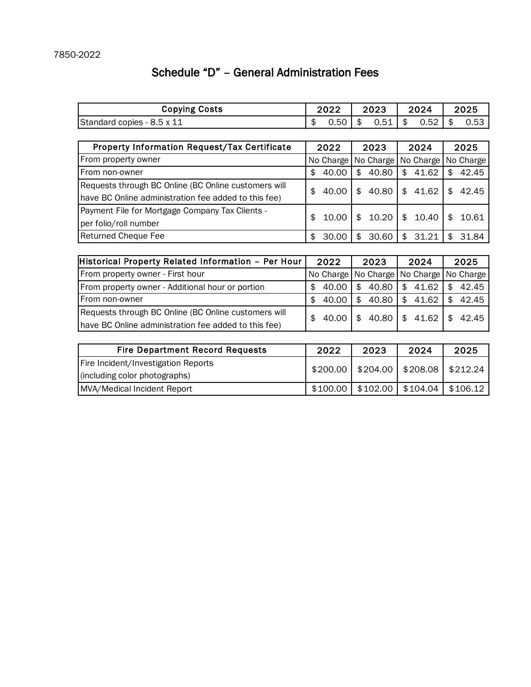## Schedule "D" – General Administration Fees

| <b>Copying Costs</b>                                 | 2022 |           | 2023 |           | 2024 |           | 2025 |           |
|------------------------------------------------------|------|-----------|------|-----------|------|-----------|------|-----------|
| Standard copies - 8.5 x 11                           | \$   | 0.50      | \$   | 0.51      | \$   | 0.52      | \$   | 0.53      |
|                                                      |      |           |      |           |      |           |      |           |
| Property Information Request/Tax Certificate         | 2022 |           | 2023 |           | 2024 |           | 2025 |           |
| From property owner                                  |      | No Charge |      | No Charge |      | No Charge |      | No Charge |
| From non-owner                                       | \$   | 40.00     | \$   | 40.80     | \$   | 41.62     | \$   | 42.45     |
| Requests through BC Online (BC Online customers will | \$   | 40.00     | \$   | 40.80     | \$   | 41.62     | \$   | 42.45     |
| have BC Online administration fee added to this fee) |      |           |      |           |      |           |      |           |
| Payment File for Mortgage Company Tax Clients -      | \$   | 10.00     | \$   | 10.20     | \$   | 10.40     | £    | 10.61     |
| per folio/roll number                                |      |           |      |           |      |           |      |           |
| <b>Returned Cheque Fee</b>                           | \$   | 30.00     | \$   | 30.60     | \$   | 31.21     | \$.  | 31.84     |
|                                                      |      |           |      |           |      |           |      |           |

| Historical Property Related Information - Per Hour   | 2022         | 2023                          | 2024                             | 2025                                          |  |
|------------------------------------------------------|--------------|-------------------------------|----------------------------------|-----------------------------------------------|--|
| From property owner - First hour                     |              |                               |                                  | No Charge   No Charge   No Charge   No Charge |  |
| From property owner - Additional hour or portion     | 40.00   \$   |                               | $40.80$   \$ 41.62   \$ 42.45    |                                               |  |
| From non-owner                                       | -96          | $40.00$   \$ 40.80   \$ 41.62 |                                  | \$42.45                                       |  |
| Requests through BC Online (BC Online customers will | 40.00<br>\$. |                               | $$40.80 \mid $41.62 \mid $42.45$ |                                               |  |
| have BC Online administration fee added to this fee) |              |                               |                                  |                                               |  |

| <b>Fire Department Record Requests</b> | 2022     | 2023     | 2024                                      | 2025 |
|----------------------------------------|----------|----------|-------------------------------------------|------|
| Fire Incident/Investigation Reports    |          |          | \$200.00   \$204.00   \$208.08   \$212.24 |      |
| (including color photographs)          |          |          |                                           |      |
| MVA/Medical Incident Report            | \$100.00 | \$102.00 | $$104.04$   \$106.12                      |      |